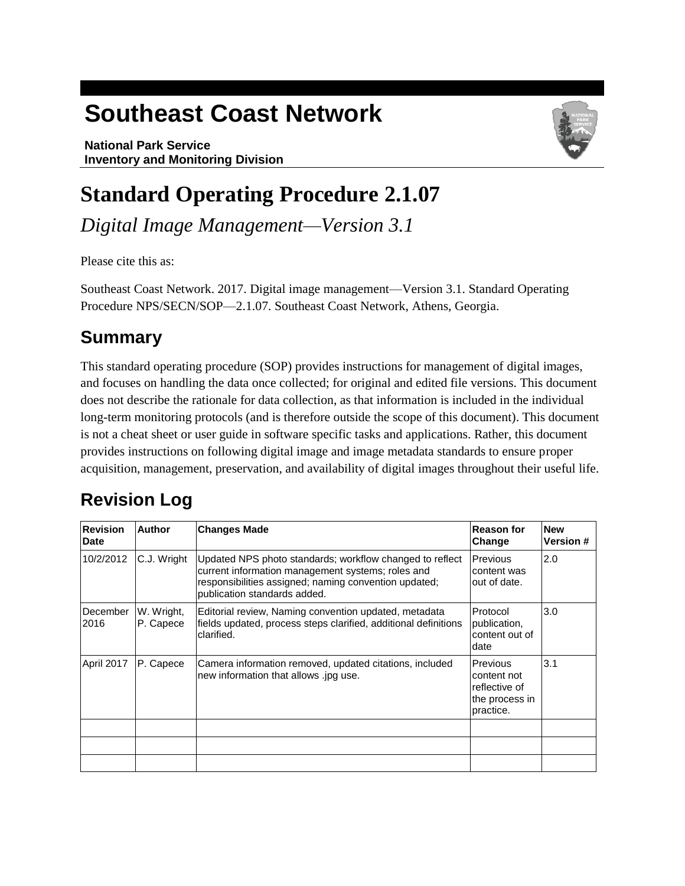# **Southeast Coast Network**

**National Park Service Inventory and Monitoring Division**



## **Standard Operating Procedure 2.1.07**

*Digital Image Management—Version 3.1* 

Please cite this as:

Southeast Coast Network. 2017. Digital image management—Version 3.1. Standard Operating Procedure NPS/SECN/SOP—2.1.07. Southeast Coast Network, Athens, Georgia.

### **Summary**

This standard operating procedure (SOP) provides instructions for management of digital images, and focuses on handling the data once collected; for original and edited file versions. This document does not describe the rationale for data collection, as that information is included in the individual long-term monitoring protocols (and is therefore outside the scope of this document). This document is not a cheat sheet or user guide in software specific tasks and applications. Rather, this document provides instructions on following digital image and image metadata standards to ensure proper acquisition, management, preservation, and availability of digital images throughout their useful life.

## **Revision Log**

| <b>Revision</b><br><b>Date</b> | <b>Author</b>           | <b>Changes Made</b>                                                                                                                                                                                    | <b>Reason for</b><br>Change                                             | <b>New</b><br><b>Version #</b> |
|--------------------------------|-------------------------|--------------------------------------------------------------------------------------------------------------------------------------------------------------------------------------------------------|-------------------------------------------------------------------------|--------------------------------|
| 10/2/2012                      | C.J. Wright             | Updated NPS photo standards; workflow changed to reflect<br>current information management systems; roles and<br>responsibilities assigned; naming convention updated;<br>publication standards added. | Previous<br>content was<br>out of date.                                 | 2.0                            |
| December<br>2016               | W. Wright,<br>P. Capece | Editorial review, Naming convention updated, metadata<br>fields updated, process steps clarified, additional definitions<br>clarified.                                                                 | Protocol<br>publication,<br>content out of<br>date                      | 3.0                            |
| April 2017                     | P. Capece               | Camera information removed, updated citations, included<br>new information that allows .jpg use.                                                                                                       | Previous<br>content not<br>reflective of<br>the process in<br>practice. | 3.1                            |
|                                |                         |                                                                                                                                                                                                        |                                                                         |                                |
|                                |                         |                                                                                                                                                                                                        |                                                                         |                                |
|                                |                         |                                                                                                                                                                                                        |                                                                         |                                |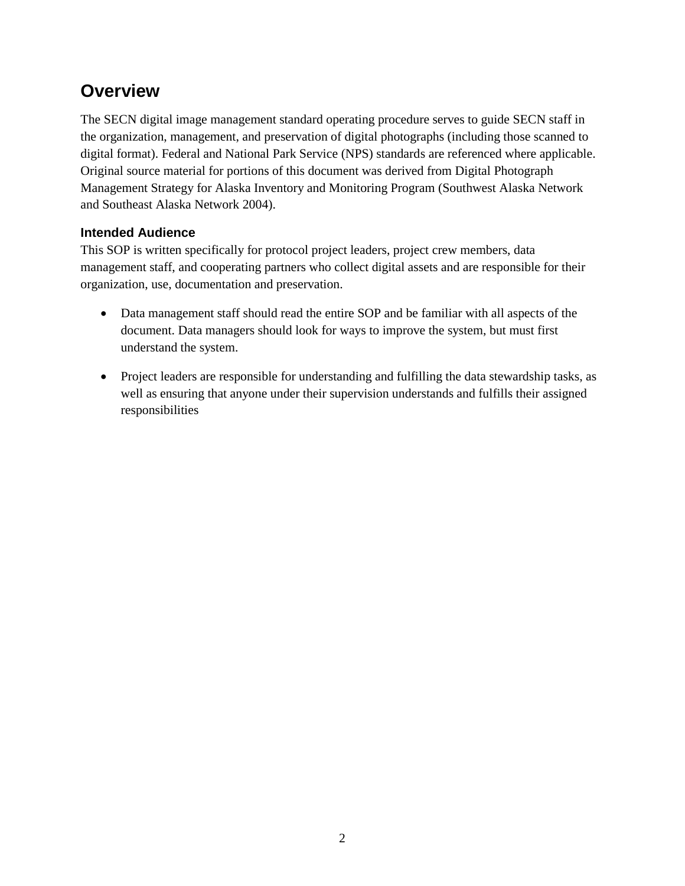### **Overview**

The SECN digital image management standard operating procedure serves to guide SECN staff in the organization, management, and preservation of digital photographs (including those scanned to digital format). Federal and National Park Service (NPS) standards are referenced where applicable. Original source material for portions of this document was derived from Digital Photograph Management Strategy for Alaska Inventory and Monitoring Program (Southwest Alaska Network and Southeast Alaska Network 2004).

#### **Intended Audience**

This SOP is written specifically for protocol project leaders, project crew members, data management staff, and cooperating partners who collect digital assets and are responsible for their organization, use, documentation and preservation.

- Data management staff should read the entire SOP and be familiar with all aspects of the document. Data managers should look for ways to improve the system, but must first understand the system.
- Project leaders are responsible for understanding and fulfilling the data stewardship tasks, as well as ensuring that anyone under their supervision understands and fulfills their assigned responsibilities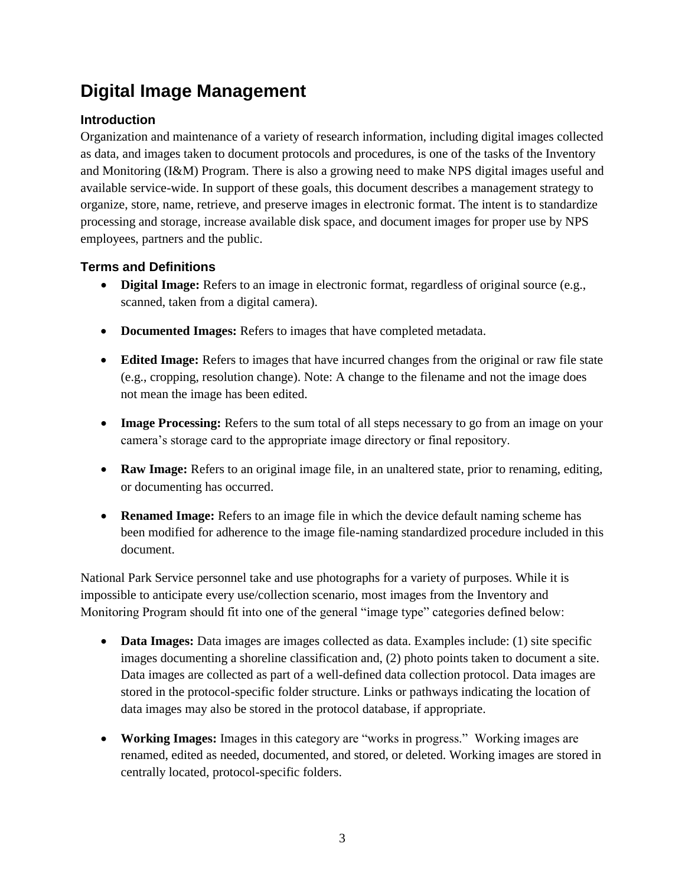### **Digital Image Management**

#### **Introduction**

Organization and maintenance of a variety of research information, including digital images collected as data, and images taken to document protocols and procedures, is one of the tasks of the Inventory and Monitoring (I&M) Program. There is also a growing need to make NPS digital images useful and available service-wide. In support of these goals, this document describes a management strategy to organize, store, name, retrieve, and preserve images in electronic format. The intent is to standardize processing and storage, increase available disk space, and document images for proper use by NPS employees, partners and the public.

#### **Terms and Definitions**

- **Digital Image:** Refers to an image in electronic format, regardless of original source (e.g., scanned, taken from a digital camera).
- **Documented Images:** Refers to images that have completed metadata.
- **Edited Image:** Refers to images that have incurred changes from the original or raw file state (e.g., cropping, resolution change). Note: A change to the filename and not the image does not mean the image has been edited.
- Image Processing: Refers to the sum total of all steps necessary to go from an image on your camera's storage card to the appropriate image directory or final repository.
- Raw Image: Refers to an original image file, in an unaltered state, prior to renaming, editing, or documenting has occurred.
- **Renamed Image:** Refers to an image file in which the device default naming scheme has been modified for adherence to the image file-naming standardized procedure included in this document.

National Park Service personnel take and use photographs for a variety of purposes. While it is impossible to anticipate every use/collection scenario, most images from the Inventory and Monitoring Program should fit into one of the general "image type" categories defined below:

- **Data Images:** Data images are images collected as data. Examples include: (1) site specific images documenting a shoreline classification and, (2) photo points taken to document a site. Data images are collected as part of a well-defined data collection protocol. Data images are stored in the protocol-specific folder structure. Links or pathways indicating the location of data images may also be stored in the protocol database, if appropriate.
- **Working Images:** Images in this category are "works in progress." Working images are renamed, edited as needed, documented, and stored, or deleted. Working images are stored in centrally located, protocol-specific folders.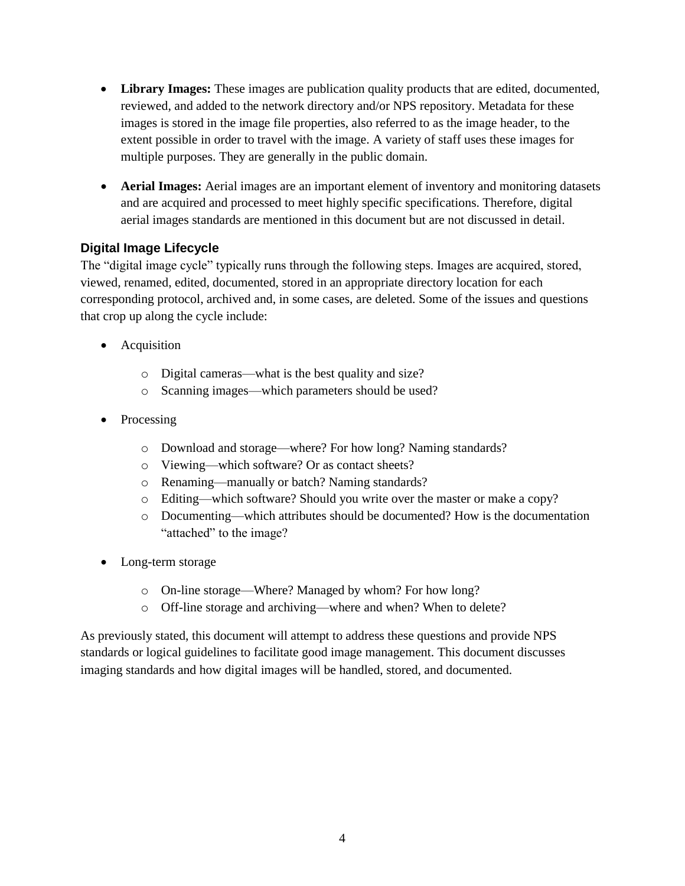- **Library Images:** These images are publication quality products that are edited, documented, reviewed, and added to the network directory and/or NPS repository. Metadata for these images is stored in the image file properties, also referred to as the image header, to the extent possible in order to travel with the image. A variety of staff uses these images for multiple purposes. They are generally in the public domain.
- **Aerial Images:** Aerial images are an important element of inventory and monitoring datasets and are acquired and processed to meet highly specific specifications. Therefore, digital aerial images standards are mentioned in this document but are not discussed in detail.

#### **Digital Image Lifecycle**

The "digital image cycle" typically runs through the following steps. Images are acquired, stored, viewed, renamed, edited, documented, stored in an appropriate directory location for each corresponding protocol, archived and, in some cases, are deleted. Some of the issues and questions that crop up along the cycle include:

- Acquisition
	- o Digital cameras—what is the best quality and size?
	- o Scanning images—which parameters should be used?
- Processing
	- o Download and storage—where? For how long? Naming standards?
	- o Viewing—which software? Or as contact sheets?
	- o Renaming—manually or batch? Naming standards?
	- o Editing—which software? Should you write over the master or make a copy?
	- o Documenting—which attributes should be documented? How is the documentation "attached" to the image?
- Long-term storage
	- o On-line storage—Where? Managed by whom? For how long?
	- o Off-line storage and archiving—where and when? When to delete?

As previously stated, this document will attempt to address these questions and provide NPS standards or logical guidelines to facilitate good image management. This document discusses imaging standards and how digital images will be handled, stored, and documented.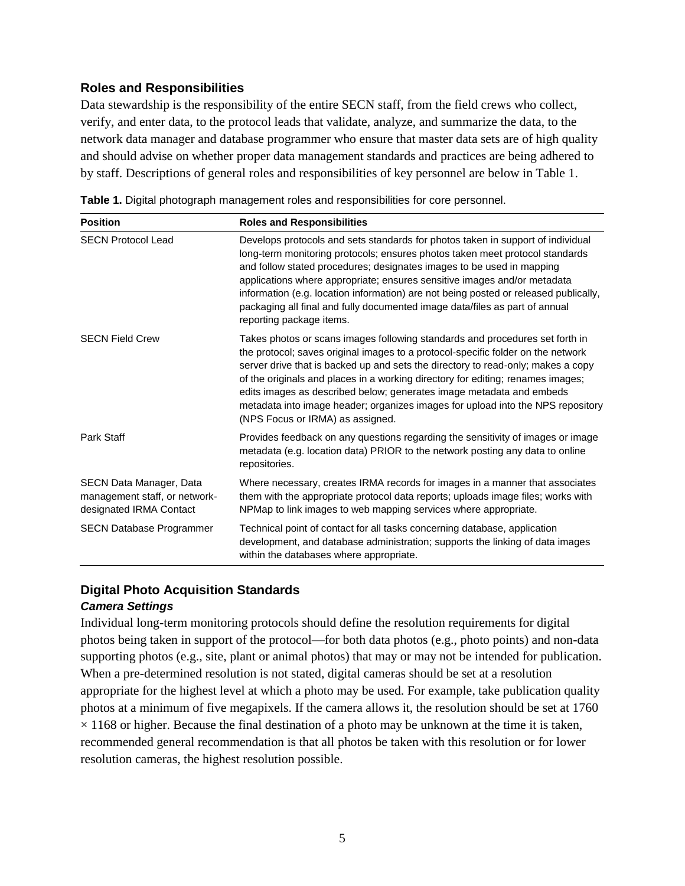#### **Roles and Responsibilities**

Data stewardship is the responsibility of the entire SECN staff, from the field crews who collect, verify, and enter data, to the protocol leads that validate, analyze, and summarize the data, to the network data manager and database programmer who ensure that master data sets are of high quality and should advise on whether proper data management standards and practices are being adhered to by staff. Descriptions of general roles and responsibilities of key personnel are below in Table 1.

| <b>Position</b>                                                                     | <b>Roles and Responsibilities</b>                                                                                                                                                                                                                                                                                                                                                                                                                                                                                                      |
|-------------------------------------------------------------------------------------|----------------------------------------------------------------------------------------------------------------------------------------------------------------------------------------------------------------------------------------------------------------------------------------------------------------------------------------------------------------------------------------------------------------------------------------------------------------------------------------------------------------------------------------|
| <b>SECN Protocol Lead</b>                                                           | Develops protocols and sets standards for photos taken in support of individual<br>long-term monitoring protocols; ensures photos taken meet protocol standards<br>and follow stated procedures; designates images to be used in mapping<br>applications where appropriate; ensures sensitive images and/or metadata<br>information (e.g. location information) are not being posted or released publically,<br>packaging all final and fully documented image data/files as part of annual<br>reporting package items.                |
| <b>SECN Field Crew</b>                                                              | Takes photos or scans images following standards and procedures set forth in<br>the protocol; saves original images to a protocol-specific folder on the network<br>server drive that is backed up and sets the directory to read-only; makes a copy<br>of the originals and places in a working directory for editing; renames images;<br>edits images as described below; generates image metadata and embeds<br>metadata into image header; organizes images for upload into the NPS repository<br>(NPS Focus or IRMA) as assigned. |
| Park Staff                                                                          | Provides feedback on any questions regarding the sensitivity of images or image<br>metadata (e.g. location data) PRIOR to the network posting any data to online<br>repositories.                                                                                                                                                                                                                                                                                                                                                      |
| SECN Data Manager, Data<br>management staff, or network-<br>designated IRMA Contact | Where necessary, creates IRMA records for images in a manner that associates<br>them with the appropriate protocol data reports; uploads image files; works with<br>NPMap to link images to web mapping services where appropriate.                                                                                                                                                                                                                                                                                                    |
| <b>SECN Database Programmer</b>                                                     | Technical point of contact for all tasks concerning database, application<br>development, and database administration; supports the linking of data images<br>within the databases where appropriate.                                                                                                                                                                                                                                                                                                                                  |

**Table 1.** Digital photograph management roles and responsibilities for core personnel.

#### **Digital Photo Acquisition Standards**

#### *Camera Settings*

Individual long-term monitoring protocols should define the resolution requirements for digital photos being taken in support of the protocol—for both data photos (e.g., photo points) and non-data supporting photos (e.g., site, plant or animal photos) that may or may not be intended for publication. When a pre-determined resolution is not stated, digital cameras should be set at a resolution appropriate for the highest level at which a photo may be used. For example, take publication quality photos at a minimum of five megapixels. If the camera allows it, the resolution should be set at 1760  $\times$  1168 or higher. Because the final destination of a photo may be unknown at the time it is taken, recommended general recommendation is that all photos be taken with this resolution or for lower resolution cameras, the highest resolution possible.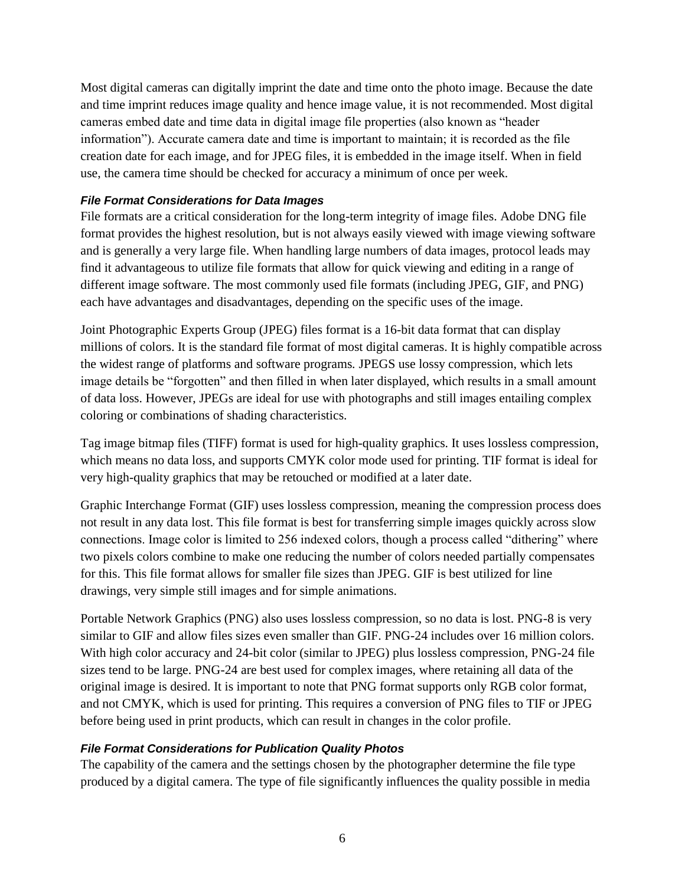Most digital cameras can digitally imprint the date and time onto the photo image. Because the date and time imprint reduces image quality and hence image value, it is not recommended. Most digital cameras embed date and time data in digital image file properties (also known as "header information"). Accurate camera date and time is important to maintain; it is recorded as the file creation date for each image, and for JPEG files, it is embedded in the image itself. When in field use, the camera time should be checked for accuracy a minimum of once per week.

#### *File Format Considerations for Data Images*

File formats are a critical consideration for the long-term integrity of image files. Adobe DNG file format provides the highest resolution, but is not always easily viewed with image viewing software and is generally a very large file. When handling large numbers of data images, protocol leads may find it advantageous to utilize file formats that allow for quick viewing and editing in a range of different image software. The most commonly used file formats (including JPEG, GIF, and PNG) each have advantages and disadvantages, depending on the specific uses of the image.

Joint Photographic Experts Group (JPEG) files format is a 16-bit data format that can display millions of colors. It is the standard file format of most digital cameras. It is highly compatible across the widest range of platforms and software programs. JPEGS use lossy compression, which lets image details be "forgotten" and then filled in when later displayed, which results in a small amount of data loss. However, JPEGs are ideal for use with photographs and still images entailing complex coloring or combinations of shading characteristics.

Tag image bitmap files (TIFF) format is used for high-quality graphics. It uses lossless compression, which means no data loss, and supports CMYK color mode used for printing. TIF format is ideal for very high-quality graphics that may be retouched or modified at a later date.

Graphic Interchange Format (GIF) uses lossless compression, meaning the compression process does not result in any data lost. This file format is best for transferring simple images quickly across slow connections. Image color is limited to 256 indexed colors, though a process called "dithering" where two pixels colors combine to make one reducing the number of colors needed partially compensates for this. This file format allows for smaller file sizes than JPEG. GIF is best utilized for line drawings, very simple still images and for simple animations.

Portable Network Graphics (PNG) also uses lossless compression, so no data is lost. PNG-8 is very similar to GIF and allow files sizes even smaller than GIF. PNG-24 includes over 16 million colors. With high color accuracy and 24-bit color (similar to JPEG) plus lossless compression, PNG-24 file sizes tend to be large. PNG-24 are best used for complex images, where retaining all data of the original image is desired. It is important to note that PNG format supports only RGB color format, and not CMYK, which is used for printing. This requires a conversion of PNG files to TIF or JPEG before being used in print products, which can result in changes in the color profile.

#### *File Format Considerations for Publication Quality Photos*

The capability of the camera and the settings chosen by the photographer determine the file type produced by a digital camera. The type of file significantly influences the quality possible in media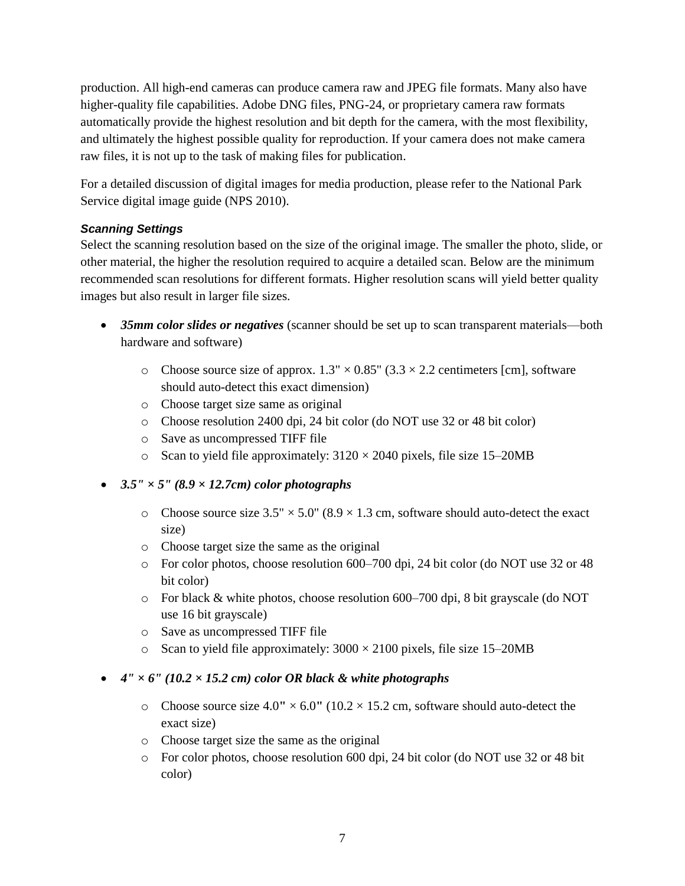production. All high-end cameras can produce camera raw and JPEG file formats. Many also have higher-quality file capabilities. Adobe DNG files, PNG-24, or proprietary camera raw formats automatically provide the highest resolution and bit depth for the camera, with the most flexibility, and ultimately the highest possible quality for reproduction. If your camera does not make camera raw files, it is not up to the task of making files for publication.

For a detailed discussion of digital images for media production, please refer to the National Park Service digital image guide (NPS 2010).

#### *Scanning Settings*

Select the scanning resolution based on the size of the original image. The smaller the photo, slide, or other material, the higher the resolution required to acquire a detailed scan. Below are the minimum recommended scan resolutions for different formats. Higher resolution scans will yield better quality images but also result in larger file sizes.

- *35mm color slides or negatives* (scanner should be set up to scan transparent materials—both hardware and software)
	- $\circ$  Choose source size of approx. 1.3"  $\times$  0.85" (3.3  $\times$  2.2 centimeters [cm], software should auto-detect this exact dimension)
	- o Choose target size same as original
	- o Choose resolution 2400 dpi, 24 bit color (do NOT use 32 or 48 bit color)
	- o Save as uncompressed TIFF file
	- o Scan to yield file approximately:  $3120 \times 2040$  pixels, file size 15–20MB
- *3.5" × 5" (8.9 × 12.7cm) color photographs* 
	- $\circ$  Choose source size 3.5"  $\times$  5.0" (8.9  $\times$  1.3 cm, software should auto-detect the exact size)
	- o Choose target size the same as the original
	- o For color photos, choose resolution 600–700 dpi, 24 bit color (do NOT use 32 or 48 bit color)
	- o For black & white photos, choose resolution 600–700 dpi, 8 bit grayscale (do NOT use 16 bit grayscale)
	- o Save as uncompressed TIFF file
	- o Scan to yield file approximately:  $3000 \times 2100$  pixels, file size 15–20MB
- $4'' \times 6''$  (10.2  $\times$  15.2 cm) color OR black & white photographs
	- o Choose source size  $4.0'' \times 6.0''$  ( $10.2 \times 15.2$  cm, software should auto-detect the exact size)
	- o Choose target size the same as the original
	- o For color photos, choose resolution 600 dpi, 24 bit color (do NOT use 32 or 48 bit color)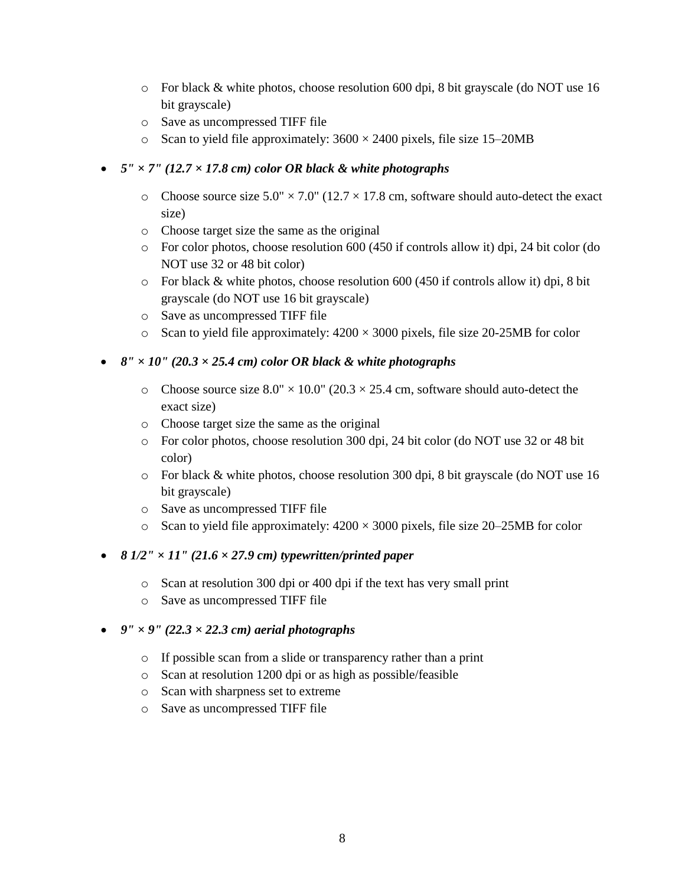- o For black & white photos, choose resolution 600 dpi, 8 bit grayscale (do NOT use 16 bit grayscale)
- o Save as uncompressed TIFF file
- o Scan to yield file approximately:  $3600 \times 2400$  pixels, file size 15–20MB

#### $5'' \times 7''$  (12.7  $\times$  17.8 cm) color OR black & white photographs

- o Choose source size  $5.0'' \times 7.0''$  (12.7  $\times$  17.8 cm, software should auto-detect the exact size)
- o Choose target size the same as the original
- o For color photos, choose resolution 600 (450 if controls allow it) dpi, 24 bit color (do NOT use 32 or 48 bit color)
- o For black & white photos, choose resolution 600 (450 if controls allow it) dpi, 8 bit grayscale (do NOT use 16 bit grayscale)
- o Save as uncompressed TIFF file
- $\circ$  Scan to yield file approximately: 4200  $\times$  3000 pixels, file size 20-25MB for color

#### $8'' \times 10''$  (20.3  $\times$  25.4 cm) color OR black & white photographs

- o Choose source size  $8.0'' \times 10.0''$  (20.3  $\times$  25.4 cm, software should auto-detect the exact size)
- o Choose target size the same as the original
- o For color photos, choose resolution 300 dpi, 24 bit color (do NOT use 32 or 48 bit color)
- o For black & white photos, choose resolution 300 dpi, 8 bit grayscale (do NOT use 16 bit grayscale)
- o Save as uncompressed TIFF file
- $\circ$  Scan to yield file approximately: 4200  $\times$  3000 pixels, file size 20–25MB for color

#### *8 1/2" × 11" (21.6 × 27.9 cm) typewritten/printed paper*

- o Scan at resolution 300 dpi or 400 dpi if the text has very small print
- o Save as uncompressed TIFF file

#### $9'' \times 9''$  (22.3  $\times$  22.3 cm) aerial photographs

- o If possible scan from a slide or transparency rather than a print
- o Scan at resolution 1200 dpi or as high as possible/feasible
- o Scan with sharpness set to extreme
- o Save as uncompressed TIFF file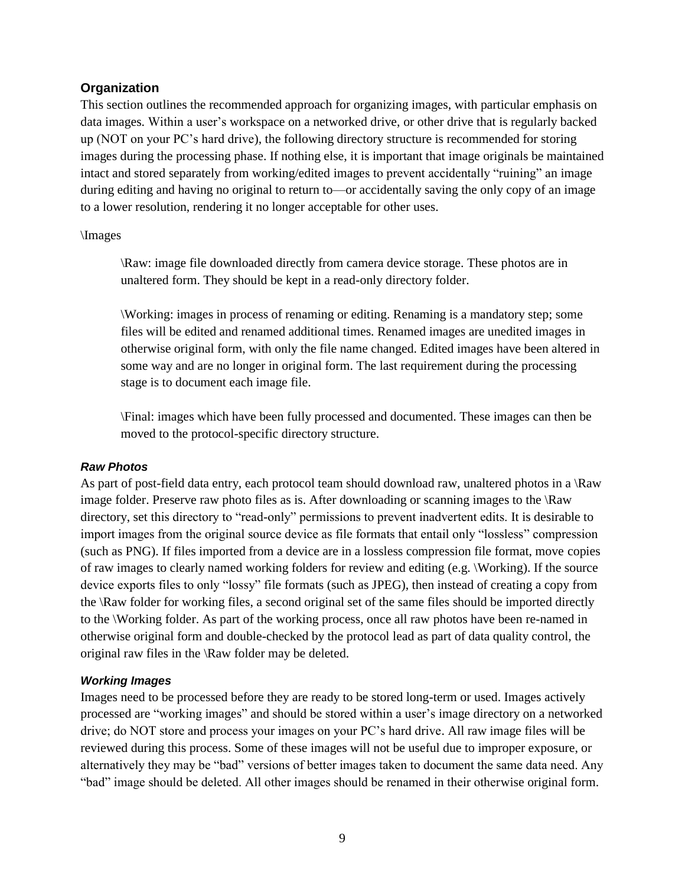#### **Organization**

This section outlines the recommended approach for organizing images, with particular emphasis on data images. Within a user's workspace on a networked drive, or other drive that is regularly backed up (NOT on your PC's hard drive), the following directory structure is recommended for storing images during the processing phase. If nothing else, it is important that image originals be maintained intact and stored separately from working/edited images to prevent accidentally "ruining" an image during editing and having no original to return to—or accidentally saving the only copy of an image to a lower resolution, rendering it no longer acceptable for other uses.

#### \Images

\Raw: image file downloaded directly from camera device storage. These photos are in unaltered form. They should be kept in a read-only directory folder.

\Working: images in process of renaming or editing. Renaming is a mandatory step; some files will be edited and renamed additional times. Renamed images are unedited images in otherwise original form, with only the file name changed. Edited images have been altered in some way and are no longer in original form. The last requirement during the processing stage is to document each image file.

\Final: images which have been fully processed and documented. These images can then be moved to the protocol-specific directory structure.

#### *Raw Photos*

As part of post-field data entry, each protocol team should download raw, unaltered photos in a  $\Raw$ image folder. Preserve raw photo files as is. After downloading or scanning images to the \Raw directory, set this directory to "read-only" permissions to prevent inadvertent edits. It is desirable to import images from the original source device as file formats that entail only "lossless" compression (such as PNG). If files imported from a device are in a lossless compression file format, move copies of raw images to clearly named working folders for review and editing (e.g. \Working). If the source device exports files to only "lossy" file formats (such as JPEG), then instead of creating a copy from the \Raw folder for working files, a second original set of the same files should be imported directly to the \Working folder. As part of the working process, once all raw photos have been re-named in otherwise original form and double-checked by the protocol lead as part of data quality control, the original raw files in the \Raw folder may be deleted.

#### *Working Images*

Images need to be processed before they are ready to be stored long-term or used. Images actively processed are "working images" and should be stored within a user's image directory on a networked drive; do NOT store and process your images on your PC's hard drive. All raw image files will be reviewed during this process. Some of these images will not be useful due to improper exposure, or alternatively they may be "bad" versions of better images taken to document the same data need. Any "bad" image should be deleted. All other images should be renamed in their otherwise original form.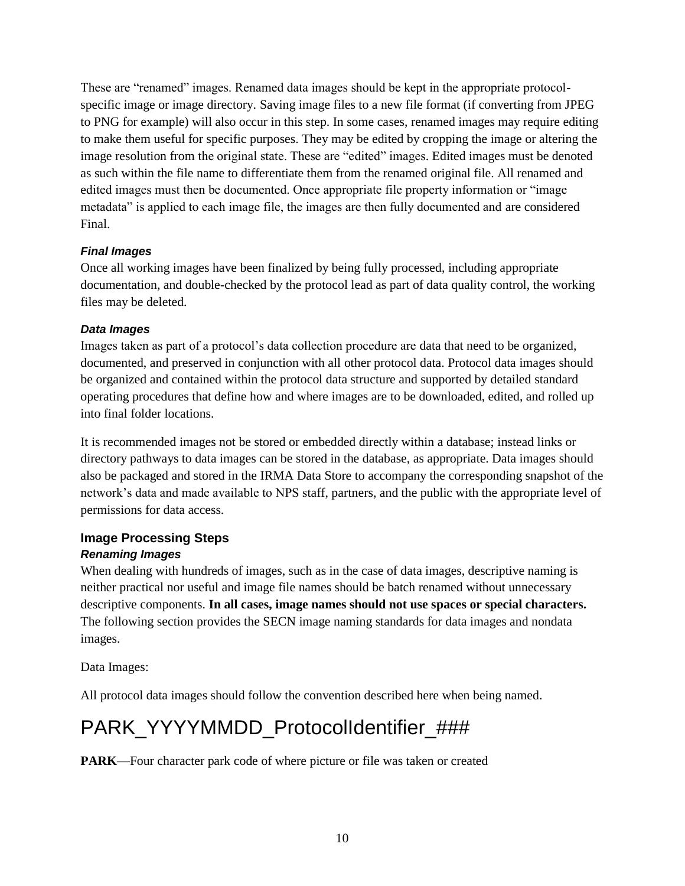These are "renamed" images. Renamed data images should be kept in the appropriate protocolspecific image or image directory. Saving image files to a new file format (if converting from JPEG to PNG for example) will also occur in this step. In some cases, renamed images may require editing to make them useful for specific purposes. They may be edited by cropping the image or altering the image resolution from the original state. These are "edited" images. Edited images must be denoted as such within the file name to differentiate them from the renamed original file. All renamed and edited images must then be documented. Once appropriate file property information or "image metadata" is applied to each image file, the images are then fully documented and are considered Final.

#### *Final Images*

Once all working images have been finalized by being fully processed, including appropriate documentation, and double-checked by the protocol lead as part of data quality control, the working files may be deleted.

#### *Data Images*

Images taken as part of a protocol's data collection procedure are data that need to be organized, documented, and preserved in conjunction with all other protocol data. Protocol data images should be organized and contained within the protocol data structure and supported by detailed standard operating procedures that define how and where images are to be downloaded, edited, and rolled up into final folder locations.

It is recommended images not be stored or embedded directly within a database; instead links or directory pathways to data images can be stored in the database, as appropriate. Data images should also be packaged and stored in the IRMA Data Store to accompany the corresponding snapshot of the network's data and made available to NPS staff, partners, and the public with the appropriate level of permissions for data access.

#### **Image Processing Steps**

#### *Renaming Images*

When dealing with hundreds of images, such as in the case of data images, descriptive naming is neither practical nor useful and image file names should be batch renamed without unnecessary descriptive components. **In all cases, image names should not use spaces or special characters.**  The following section provides the SECN image naming standards for data images and nondata images.

Data Images:

All protocol data images should follow the convention described here when being named.

## PARK\_YYYYMMDD\_ProtocolIdentifier\_###

**PARK**—Four character park code of where picture or file was taken or created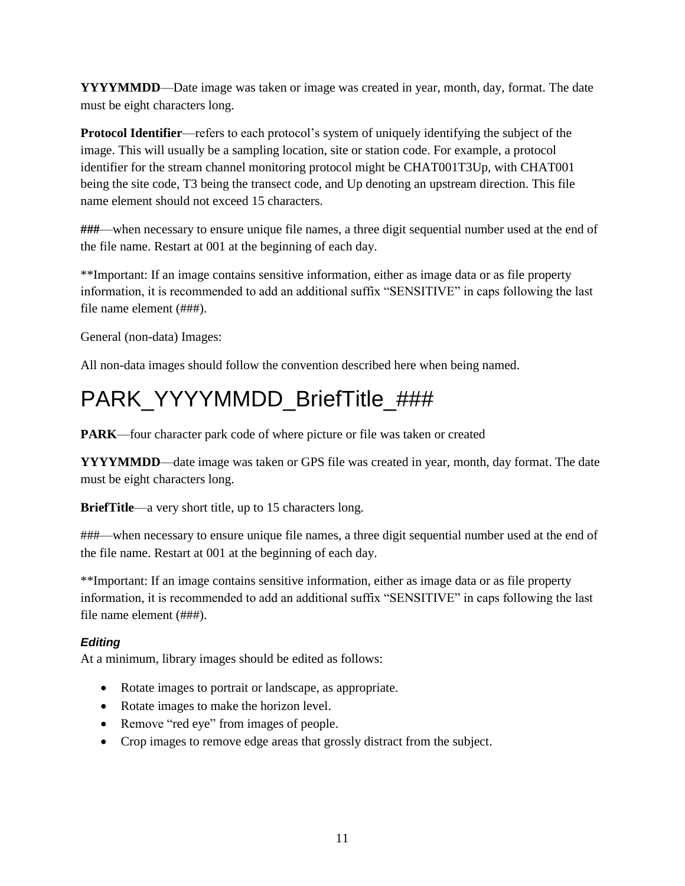**YYYYMMDD**—Date image was taken or image was created in year, month, day, format. The date must be eight characters long.

**Protocol Identifier**—refers to each protocol's system of uniquely identifying the subject of the image. This will usually be a sampling location, site or station code. For example, a protocol identifier for the stream channel monitoring protocol might be CHAT001T3Up, with CHAT001 being the site code, T3 being the transect code, and Up denoting an upstream direction. This file name element should not exceed 15 characters.

**###**—when necessary to ensure unique file names, a three digit sequential number used at the end of the file name. Restart at 001 at the beginning of each day.

\*\*Important: If an image contains sensitive information, either as image data or as file property information, it is recommended to add an additional suffix "SENSITIVE" in caps following the last file name element (###).

General (non-data) Images:

All non-data images should follow the convention described here when being named.

## PARK\_YYYYMMDD\_BriefTitle\_###

**PARK**—four character park code of where picture or file was taken or created

**YYYYMMDD**—date image was taken or GPS file was created in year, month, day format. The date must be eight characters long.

**BriefTitle**—a very short title, up to 15 characters long.

###—when necessary to ensure unique file names, a three digit sequential number used at the end of the file name. Restart at 001 at the beginning of each day.

\*\*Important: If an image contains sensitive information, either as image data or as file property information, it is recommended to add an additional suffix "SENSITIVE" in caps following the last file name element (###).

#### *Editing*

At a minimum, library images should be edited as follows:

- Rotate images to portrait or landscape, as appropriate.
- Rotate images to make the horizon level.
- Remove "red eye" from images of people.
- Crop images to remove edge areas that grossly distract from the subject.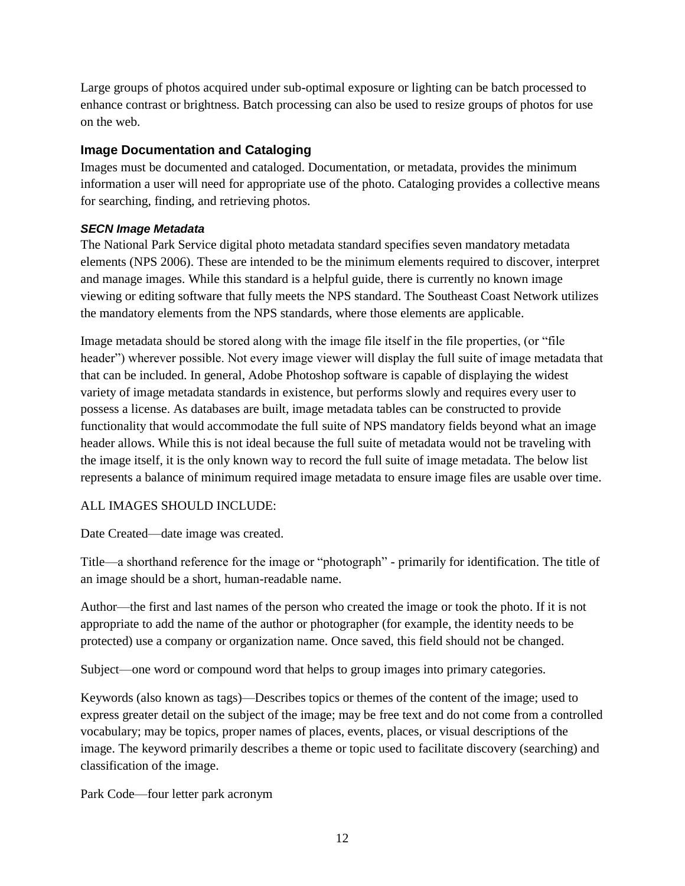Large groups of photos acquired under sub-optimal exposure or lighting can be batch processed to enhance contrast or brightness. Batch processing can also be used to resize groups of photos for use on the web.

#### **Image Documentation and Cataloging**

Images must be documented and cataloged. Documentation, or metadata, provides the minimum information a user will need for appropriate use of the photo. Cataloging provides a collective means for searching, finding, and retrieving photos.

#### *SECN Image Metadata*

The National Park Service digital photo metadata standard specifies seven mandatory metadata elements (NPS 2006). These are intended to be the minimum elements required to discover, interpret and manage images. While this standard is a helpful guide, there is currently no known image viewing or editing software that fully meets the NPS standard. The Southeast Coast Network utilizes the mandatory elements from the NPS standards, where those elements are applicable.

Image metadata should be stored along with the image file itself in the file properties, (or "file header") wherever possible. Not every image viewer will display the full suite of image metadata that that can be included. In general, Adobe Photoshop software is capable of displaying the widest variety of image metadata standards in existence, but performs slowly and requires every user to possess a license. As databases are built, image metadata tables can be constructed to provide functionality that would accommodate the full suite of NPS mandatory fields beyond what an image header allows. While this is not ideal because the full suite of metadata would not be traveling with the image itself, it is the only known way to record the full suite of image metadata. The below list represents a balance of minimum required image metadata to ensure image files are usable over time.

#### ALL IMAGES SHOULD INCLUDE:

Date Created—date image was created.

Title—a shorthand reference for the image or "photograph" - primarily for identification. The title of an image should be a short, human-readable name.

Author—the first and last names of the person who created the image or took the photo. If it is not appropriate to add the name of the author or photographer (for example, the identity needs to be protected) use a company or organization name. Once saved, this field should not be changed.

Subject—one word or compound word that helps to group images into primary categories.

Keywords (also known as tags)—Describes topics or themes of the content of the image; used to express greater detail on the subject of the image; may be free text and do not come from a controlled vocabulary; may be topics, proper names of places, events, places, or visual descriptions of the image. The keyword primarily describes a theme or topic used to facilitate discovery (searching) and classification of the image.

Park Code—four letter park acronym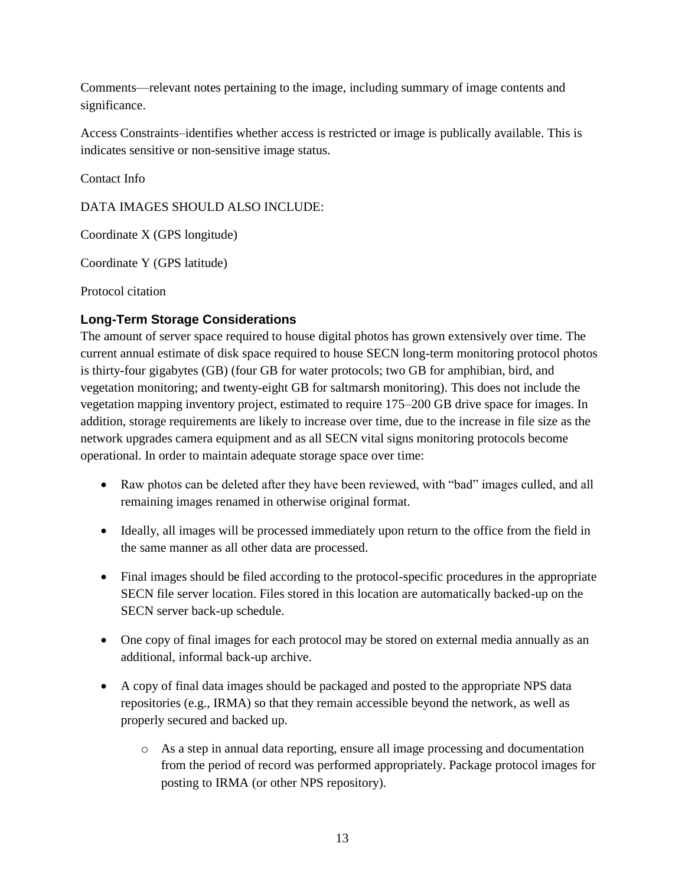Comments—relevant notes pertaining to the image, including summary of image contents and significance.

Access Constraints–identifies whether access is restricted or image is publically available. This is indicates sensitive or non-sensitive image status.

Contact Info

DATA IMAGES SHOULD ALSO INCLUDE:

Coordinate X (GPS longitude)

Coordinate Y (GPS latitude)

Protocol citation

#### **Long-Term Storage Considerations**

The amount of server space required to house digital photos has grown extensively over time. The current annual estimate of disk space required to house SECN long-term monitoring protocol photos is thirty-four gigabytes (GB) (four GB for water protocols; two GB for amphibian, bird, and vegetation monitoring; and twenty-eight GB for saltmarsh monitoring). This does not include the vegetation mapping inventory project, estimated to require 175–200 GB drive space for images. In addition, storage requirements are likely to increase over time, due to the increase in file size as the network upgrades camera equipment and as all SECN vital signs monitoring protocols become operational. In order to maintain adequate storage space over time:

- Raw photos can be deleted after they have been reviewed, with "bad" images culled, and all remaining images renamed in otherwise original format.
- Ideally, all images will be processed immediately upon return to the office from the field in the same manner as all other data are processed.
- Final images should be filed according to the protocol-specific procedures in the appropriate SECN file server location. Files stored in this location are automatically backed-up on the SECN server back-up schedule.
- One copy of final images for each protocol may be stored on external media annually as an additional, informal back-up archive.
- A copy of final data images should be packaged and posted to the appropriate NPS data repositories (e.g., IRMA) so that they remain accessible beyond the network, as well as properly secured and backed up.
	- o As a step in annual data reporting, ensure all image processing and documentation from the period of record was performed appropriately. Package protocol images for posting to IRMA (or other NPS repository).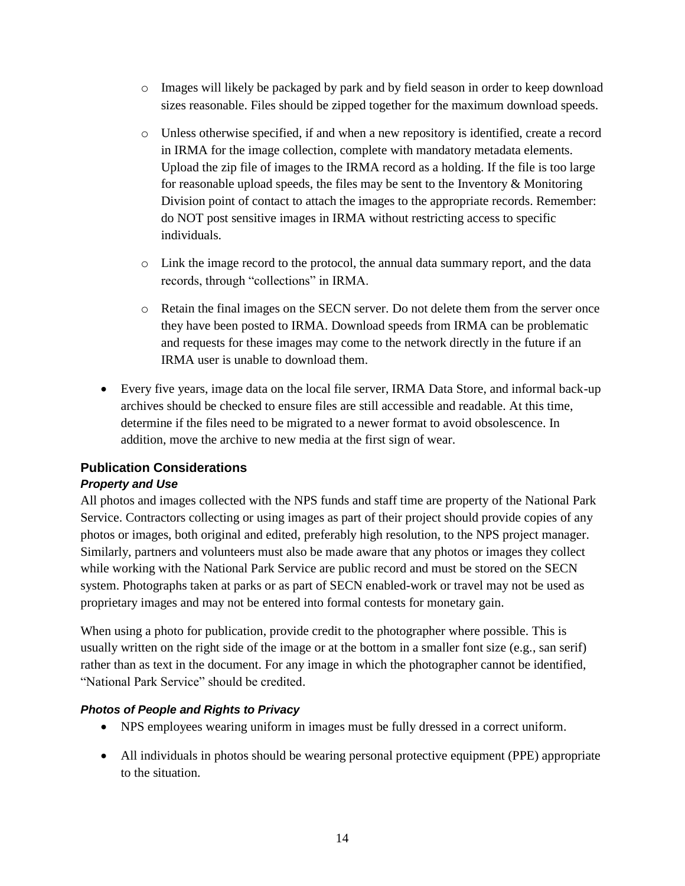- o Images will likely be packaged by park and by field season in order to keep download sizes reasonable. Files should be zipped together for the maximum download speeds.
- o Unless otherwise specified, if and when a new repository is identified, create a record in IRMA for the image collection, complete with mandatory metadata elements. Upload the zip file of images to the IRMA record as a holding. If the file is too large for reasonable upload speeds, the files may be sent to the Inventory  $\&$  Monitoring Division point of contact to attach the images to the appropriate records. Remember: do NOT post sensitive images in IRMA without restricting access to specific individuals.
- o Link the image record to the protocol, the annual data summary report, and the data records, through "collections" in IRMA.
- o Retain the final images on the SECN server. Do not delete them from the server once they have been posted to IRMA. Download speeds from IRMA can be problematic and requests for these images may come to the network directly in the future if an IRMA user is unable to download them.
- Every five years, image data on the local file server, IRMA Data Store, and informal back-up archives should be checked to ensure files are still accessible and readable. At this time, determine if the files need to be migrated to a newer format to avoid obsolescence. In addition, move the archive to new media at the first sign of wear.

#### **Publication Considerations**

#### *Property and Use*

All photos and images collected with the NPS funds and staff time are property of the National Park Service. Contractors collecting or using images as part of their project should provide copies of any photos or images, both original and edited, preferably high resolution, to the NPS project manager. Similarly, partners and volunteers must also be made aware that any photos or images they collect while working with the National Park Service are public record and must be stored on the SECN system. Photographs taken at parks or as part of SECN enabled-work or travel may not be used as proprietary images and may not be entered into formal contests for monetary gain.

When using a photo for publication, provide credit to the photographer where possible. This is usually written on the right side of the image or at the bottom in a smaller font size (e.g., san serif) rather than as text in the document. For any image in which the photographer cannot be identified, "National Park Service" should be credited.

#### *Photos of People and Rights to Privacy*

- NPS employees wearing uniform in images must be fully dressed in a correct uniform.
- All individuals in photos should be wearing personal protective equipment (PPE) appropriate to the situation.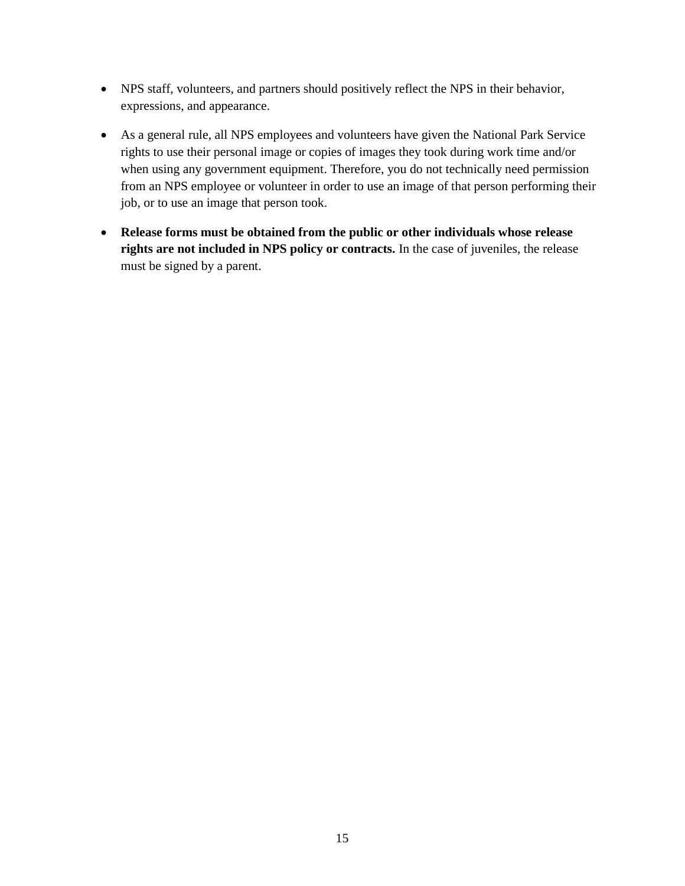- NPS staff, volunteers, and partners should positively reflect the NPS in their behavior, expressions, and appearance.
- As a general rule, all NPS employees and volunteers have given the National Park Service rights to use their personal image or copies of images they took during work time and/or when using any government equipment. Therefore, you do not technically need permission from an NPS employee or volunteer in order to use an image of that person performing their job, or to use an image that person took.
- **Release forms must be obtained from the public or other individuals whose release rights are not included in NPS policy or contracts.** In the case of juveniles, the release must be signed by a parent.